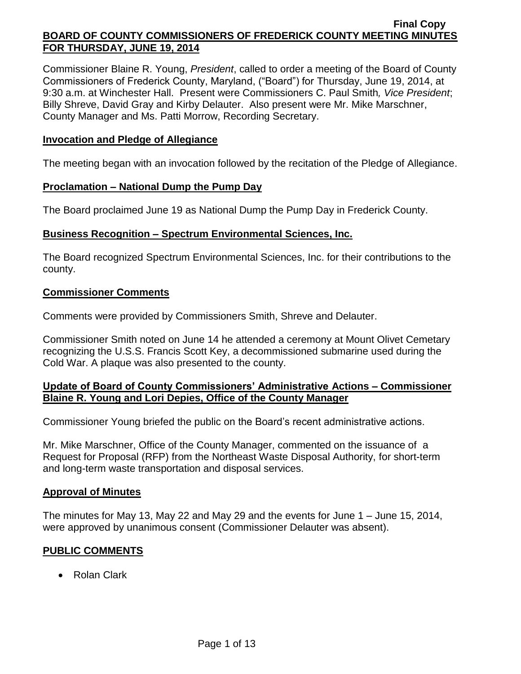Commissioner Blaine R. Young, *President*, called to order a meeting of the Board of County Commissioners of Frederick County, Maryland, ("Board") for Thursday, June 19, 2014, at 9:30 a.m. at Winchester Hall. Present were Commissioners C. Paul Smith*, Vice President*; Billy Shreve, David Gray and Kirby Delauter. Also present were Mr. Mike Marschner, County Manager and Ms. Patti Morrow, Recording Secretary.

### **Invocation and Pledge of Allegiance**

The meeting began with an invocation followed by the recitation of the Pledge of Allegiance.

#### **Proclamation – National Dump the Pump Day**

The Board proclaimed June 19 as National Dump the Pump Day in Frederick County.

### **Business Recognition – Spectrum Environmental Sciences, Inc.**

The Board recognized Spectrum Environmental Sciences, Inc. for their contributions to the county.

### **Commissioner Comments**

Comments were provided by Commissioners Smith, Shreve and Delauter.

Commissioner Smith noted on June 14 he attended a ceremony at Mount Olivet Cemetary recognizing the U.S.S. Francis Scott Key, a decommissioned submarine used during the Cold War. A plaque was also presented to the county.

# **Update of Board of County Commissioners' Administrative Actions – Commissioner Blaine R. Young and Lori Depies, Office of the County Manager**

Commissioner Young briefed the public on the Board's recent administrative actions.

Mr. Mike Marschner, Office of the County Manager, commented on the issuance of a Request for Proposal (RFP) from the Northeast Waste Disposal Authority, for short-term and long-term waste transportation and disposal services.

#### **Approval of Minutes**

The minutes for May 13, May 22 and May 29 and the events for June 1 – June 15, 2014, were approved by unanimous consent (Commissioner Delauter was absent).

# **PUBLIC COMMENTS**

Rolan Clark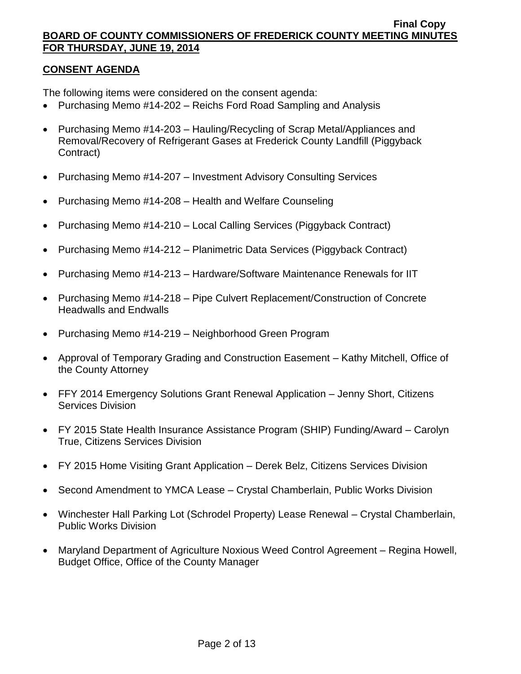# **CONSENT AGENDA**

The following items were considered on the consent agenda:

- Purchasing Memo #14-202 Reichs Ford Road Sampling and Analysis
- Purchasing Memo #14-203 Hauling/Recycling of Scrap Metal/Appliances and Removal/Recovery of Refrigerant Gases at Frederick County Landfill (Piggyback Contract)
- Purchasing Memo #14-207 Investment Advisory Consulting Services
- Purchasing Memo #14-208 Health and Welfare Counseling
- Purchasing Memo #14-210 Local Calling Services (Piggyback Contract)
- Purchasing Memo #14-212 Planimetric Data Services (Piggyback Contract)
- Purchasing Memo #14-213 Hardware/Software Maintenance Renewals for IIT
- Purchasing Memo #14-218 Pipe Culvert Replacement/Construction of Concrete Headwalls and Endwalls
- Purchasing Memo #14-219 Neighborhood Green Program
- Approval of Temporary Grading and Construction Easement Kathy Mitchell, Office of the County Attorney
- FFY 2014 Emergency Solutions Grant Renewal Application Jenny Short, Citizens Services Division
- FY 2015 State Health Insurance Assistance Program (SHIP) Funding/Award Carolyn True, Citizens Services Division
- FY 2015 Home Visiting Grant Application Derek Belz, Citizens Services Division
- Second Amendment to YMCA Lease Crystal Chamberlain, Public Works Division
- Winchester Hall Parking Lot (Schrodel Property) Lease Renewal Crystal Chamberlain, Public Works Division
- Maryland Department of Agriculture Noxious Weed Control Agreement Regina Howell, Budget Office, Office of the County Manager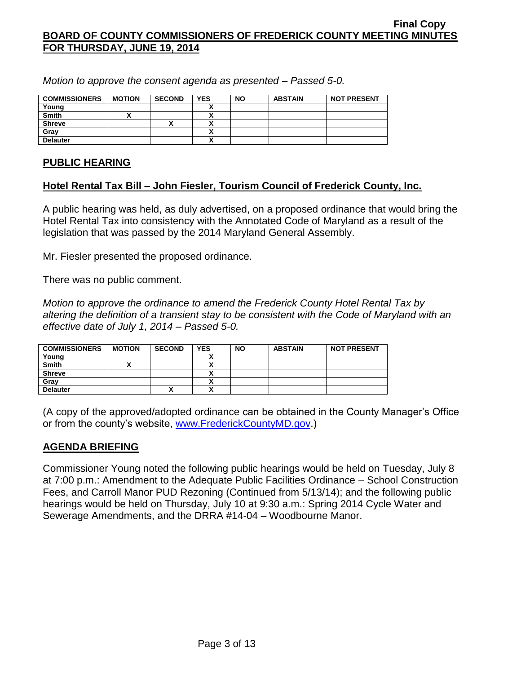*Motion to approve the consent agenda as presented – Passed 5-0.*

| <b>COMMISSIONERS</b> | <b>MOTION</b> | <b>SECOND</b> | <b>YES</b> | <b>NO</b> | <b>ABSTAIN</b> | <b>NOT PRESENT</b> |
|----------------------|---------------|---------------|------------|-----------|----------------|--------------------|
| Young                |               |               |            |           |                |                    |
| <b>Smith</b>         |               |               |            |           |                |                    |
| <b>Shreve</b>        |               |               |            |           |                |                    |
| Grav                 |               |               |            |           |                |                    |
| <b>Delauter</b>      |               |               |            |           |                |                    |

# **PUBLIC HEARING**

# **Hotel Rental Tax Bill – John Fiesler, Tourism Council of Frederick County, Inc.**

A public hearing was held, as duly advertised, on a proposed ordinance that would bring the Hotel Rental Tax into consistency with the Annotated Code of Maryland as a result of the legislation that was passed by the 2014 Maryland General Assembly.

Mr. Fiesler presented the proposed ordinance.

There was no public comment.

*Motion to approve the ordinance to amend the Frederick County Hotel Rental Tax by altering the definition of a transient stay to be consistent with the Code of Maryland with an effective date of July 1, 2014 – Passed 5-0.*

| <b>COMMISSIONERS</b> | <b>MOTION</b> | <b>SECOND</b> | <b>YES</b> | <b>NO</b> | <b>ABSTAIN</b> | <b>NOT PRESENT</b> |
|----------------------|---------------|---------------|------------|-----------|----------------|--------------------|
| Young                |               |               |            |           |                |                    |
| <b>Smith</b>         |               |               |            |           |                |                    |
| <b>Shreve</b>        |               |               |            |           |                |                    |
| Gray                 |               |               |            |           |                |                    |
| <b>Delauter</b>      |               | ́             |            |           |                |                    |

(A copy of the approved/adopted ordinance can be obtained in the County Manager's Office or from the county's website, [www.FrederickCountyMD.gov.](http://www.frederickcountymd.gov/))

# **AGENDA BRIEFING**

Commissioner Young noted the following public hearings would be held on Tuesday, July 8 at 7:00 p.m.: Amendment to the Adequate Public Facilities Ordinance – School Construction Fees, and Carroll Manor PUD Rezoning (Continued from 5/13/14); and the following public hearings would be held on Thursday, July 10 at 9:30 a.m.: Spring 2014 Cycle Water and Sewerage Amendments, and the DRRA #14-04 – Woodbourne Manor.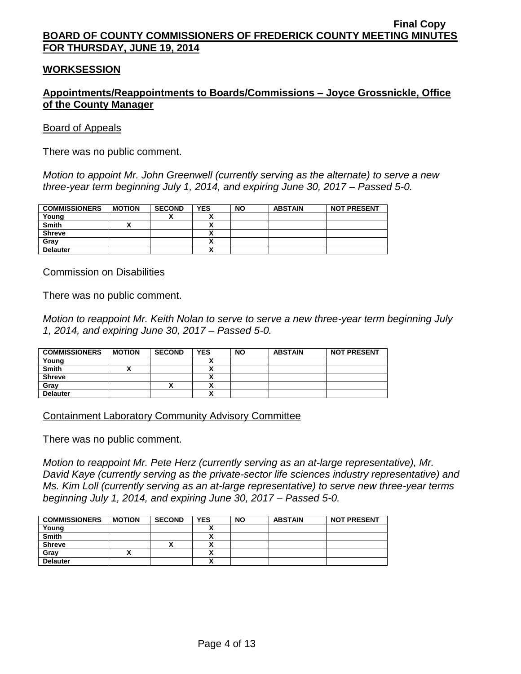### **WORKSESSION**

# **Appointments/Reappointments to Boards/Commissions – Joyce Grossnickle, Office of the County Manager**

#### Board of Appeals

There was no public comment.

*Motion to appoint Mr. John Greenwell (currently serving as the alternate) to serve a new three-year term beginning July 1, 2014, and expiring June 30, 2017 – Passed 5-0.*

| <b>COMMISSIONERS</b> | <b>MOTION</b> | <b>SECOND</b> | <b>YES</b>               | <b>NO</b> | <b>ABSTAIN</b> | <b>NOT PRESENT</b> |
|----------------------|---------------|---------------|--------------------------|-----------|----------------|--------------------|
| Young                |               |               |                          |           |                |                    |
| <b>Smith</b>         |               |               | $\overline{\phantom{a}}$ |           |                |                    |
| <b>Shreve</b>        |               |               |                          |           |                |                    |
| Gray                 |               |               |                          |           |                |                    |
| <b>Delauter</b>      |               |               | v                        |           |                |                    |

Commission on Disabilities

There was no public comment.

*Motion to reappoint Mr. Keith Nolan to serve to serve a new three-year term beginning July 1, 2014, and expiring June 30, 2017 – Passed 5-0.*

| <b>COMMISSIONERS</b> | <b>MOTION</b> | <b>SECOND</b> | <b>YES</b> | <b>NO</b> | <b>ABSTAIN</b> | <b>NOT PRESENT</b> |
|----------------------|---------------|---------------|------------|-----------|----------------|--------------------|
| Young                |               |               |            |           |                |                    |
| <b>Smith</b>         |               |               |            |           |                |                    |
| <b>Shreve</b>        |               |               |            |           |                |                    |
| Grav                 |               |               |            |           |                |                    |
| <b>Delauter</b>      |               |               |            |           |                |                    |

Containment Laboratory Community Advisory Committee

There was no public comment.

*Motion to reappoint Mr. Pete Herz (currently serving as an at-large representative), Mr. David Kaye (currently serving as the private-sector life sciences industry representative) and Ms. Kim Loll (currently serving as an at-large representative) to serve new three-year terms beginning July 1, 2014, and expiring June 30, 2017 – Passed 5-0.*

| <b>COMMISSIONERS</b> | <b>MOTION</b> | <b>SECOND</b> | <b>YES</b> | <b>NO</b> | <b>ABSTAIN</b> | <b>NOT PRESENT</b> |
|----------------------|---------------|---------------|------------|-----------|----------------|--------------------|
| Young                |               |               |            |           |                |                    |
| <b>Smith</b>         |               |               |            |           |                |                    |
| <b>Shreve</b>        |               | ́             |            |           |                |                    |
| Gray                 |               |               |            |           |                |                    |
| <b>Delauter</b>      |               |               |            |           |                |                    |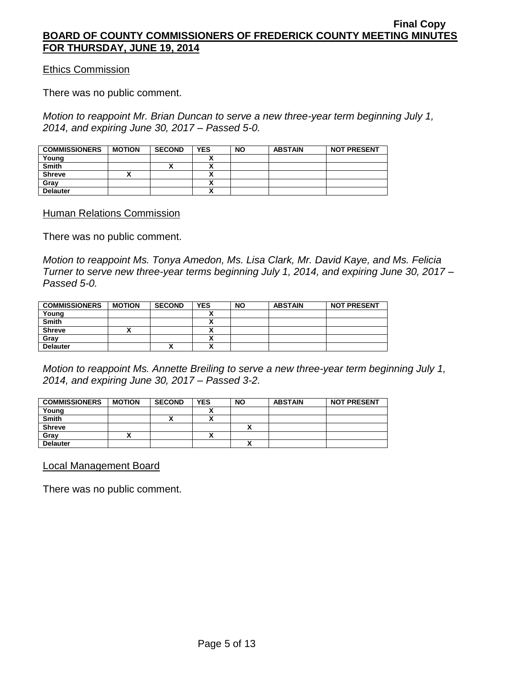Ethics Commission

There was no public comment.

*Motion to reappoint Mr. Brian Duncan to serve a new three-year term beginning July 1, 2014, and expiring June 30, 2017 – Passed 5-0.*

| <b>COMMISSIONERS</b> | <b>MOTION</b> | <b>SECOND</b> | <b>YES</b> | <b>NO</b> | <b>ABSTAIN</b> | <b>NOT PRESENT</b> |
|----------------------|---------------|---------------|------------|-----------|----------------|--------------------|
| Young                |               |               |            |           |                |                    |
| <b>Smith</b>         |               |               |            |           |                |                    |
| <b>Shreve</b>        |               |               |            |           |                |                    |
| Gray                 |               |               |            |           |                |                    |
| <b>Delauter</b>      |               |               |            |           |                |                    |

**Human Relations Commission** 

There was no public comment.

*Motion to reappoint Ms. Tonya Amedon, Ms. Lisa Clark, Mr. David Kaye, and Ms. Felicia Turner to serve new three-year terms beginning July 1, 2014, and expiring June 30, 2017 – Passed 5-0.*

| <b>COMMISSIONERS</b> | <b>MOTION</b> | <b>SECOND</b> | <b>YES</b> | <b>NO</b> | <b>ABSTAIN</b> | <b>NOT PRESENT</b> |
|----------------------|---------------|---------------|------------|-----------|----------------|--------------------|
| Young                |               |               |            |           |                |                    |
| <b>Smith</b>         |               |               |            |           |                |                    |
| <b>Shreve</b>        |               |               |            |           |                |                    |
| Gray                 |               |               |            |           |                |                    |
| <b>Delauter</b>      |               | ^             |            |           |                |                    |

*Motion to reappoint Ms. Annette Breiling to serve a new three-year term beginning July 1, 2014, and expiring June 30, 2017 – Passed 3-2.*

| <b>COMMISSIONERS</b> | <b>MOTION</b> | <b>SECOND</b> | <b>YES</b> | <b>NO</b> | <b>ABSTAIN</b> | <b>NOT PRESENT</b> |
|----------------------|---------------|---------------|------------|-----------|----------------|--------------------|
| Young                |               |               |            |           |                |                    |
| <b>Smith</b>         |               | "             |            |           |                |                    |
| <b>Shreve</b>        |               |               |            |           |                |                    |
| Grav                 |               |               | ~          |           |                |                    |
| <b>Delauter</b>      |               |               |            |           |                |                    |

Local Management Board

There was no public comment.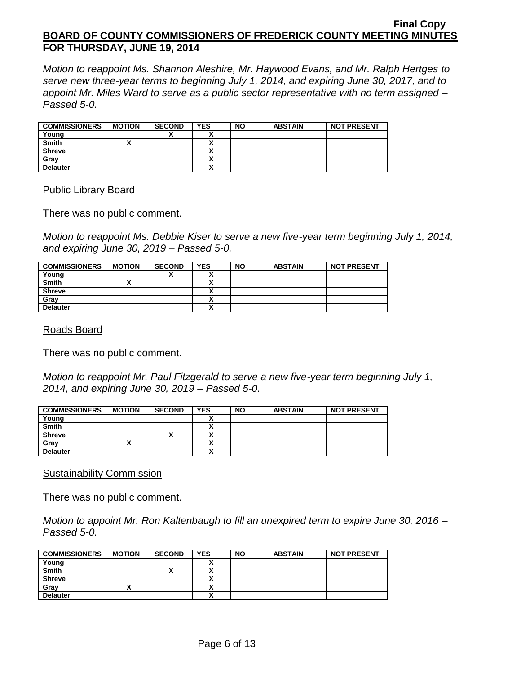*Motion to reappoint Ms. Shannon Aleshire, Mr. Haywood Evans, and Mr. Ralph Hertges to serve new three-year terms to beginning July 1, 2014, and expiring June 30, 2017, and to appoint Mr. Miles Ward to serve as a public sector representative with no term assigned – Passed 5-0.*

| <b>COMMISSIONERS</b> | <b>MOTION</b> | <b>SECOND</b> | <b>YES</b> | <b>NO</b> | <b>ABSTAIN</b> | <b>NOT PRESENT</b> |
|----------------------|---------------|---------------|------------|-----------|----------------|--------------------|
| Young                |               | ~             |            |           |                |                    |
| <b>Smith</b>         |               |               |            |           |                |                    |
| <b>Shreve</b>        |               |               |            |           |                |                    |
| Grav                 |               |               |            |           |                |                    |
| <b>Delauter</b>      |               |               | ~          |           |                |                    |

#### Public Library Board

There was no public comment.

*Motion to reappoint Ms. Debbie Kiser to serve a new five-year term beginning July 1, 2014, and expiring June 30, 2019 – Passed 5-0.*

| <b>COMMISSIONERS</b> | <b>MOTION</b> | <b>SECOND</b> | <b>YES</b> | <b>NO</b> | <b>ABSTAIN</b> | <b>NOT PRESENT</b> |
|----------------------|---------------|---------------|------------|-----------|----------------|--------------------|
| Young                |               | v<br>Λ        |            |           |                |                    |
| <b>Smith</b>         |               |               |            |           |                |                    |
| <b>Shreve</b>        |               |               |            |           |                |                    |
| Gray                 |               |               |            |           |                |                    |
| <b>Delauter</b>      |               |               |            |           |                |                    |

### Roads Board

There was no public comment.

*Motion to reappoint Mr. Paul Fitzgerald to serve a new five-year term beginning July 1, 2014, and expiring June 30, 2019 – Passed 5-0.*

| <b>COMMISSIONERS</b> | <b>MOTION</b> | <b>SECOND</b> | <b>YES</b> | <b>NO</b> | <b>ABSTAIN</b> | <b>NOT PRESENT</b> |
|----------------------|---------------|---------------|------------|-----------|----------------|--------------------|
| Young                |               |               |            |           |                |                    |
| <b>Smith</b>         |               |               | ~          |           |                |                    |
| <b>Shreve</b>        |               |               |            |           |                |                    |
| Gray                 |               |               |            |           |                |                    |
| <b>Delauter</b>      |               |               | A          |           |                |                    |

#### **Sustainability Commission**

There was no public comment.

*Motion to appoint Mr. Ron Kaltenbaugh to fill an unexpired term to expire June 30, 2016 – Passed 5-0.*

| <b>COMMISSIONERS</b> | <b>MOTION</b> | <b>SECOND</b> | <b>YES</b> | <b>NO</b> | <b>ABSTAIN</b> | <b>NOT PRESENT</b> |
|----------------------|---------------|---------------|------------|-----------|----------------|--------------------|
| Young                |               |               |            |           |                |                    |
| <b>Smith</b>         |               |               |            |           |                |                    |
| <b>Shreve</b>        |               |               |            |           |                |                    |
| Grav                 |               |               |            |           |                |                    |
| <b>Delauter</b>      |               |               |            |           |                |                    |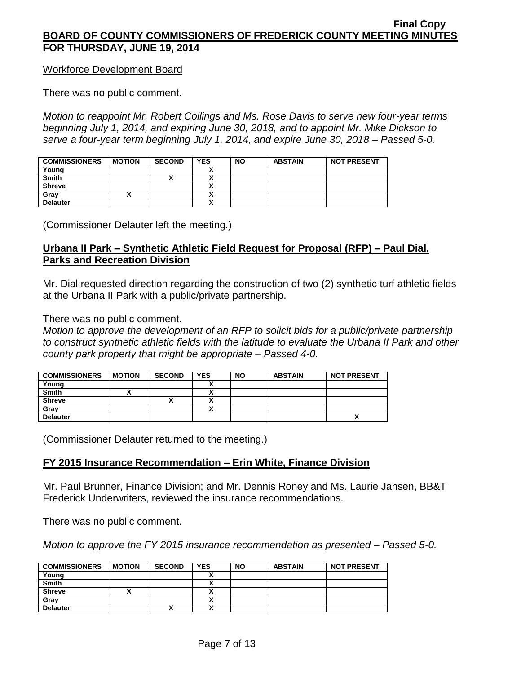#### Workforce Development Board

There was no public comment.

*Motion to reappoint Mr. Robert Collings and Ms. Rose Davis to serve new four-year terms beginning July 1, 2014, and expiring June 30, 2018, and to appoint Mr. Mike Dickson to serve a four-year term beginning July 1, 2014, and expire June 30, 2018 – Passed 5-0.*

| <b>COMMISSIONERS</b> | <b>MOTION</b> | <b>SECOND</b> | <b>YES</b> | <b>NO</b> | <b>ABSTAIN</b> | <b>NOT PRESENT</b> |
|----------------------|---------------|---------------|------------|-----------|----------------|--------------------|
| Young                |               |               |            |           |                |                    |
| <b>Smith</b>         |               | ́             |            |           |                |                    |
| <b>Shreve</b>        |               |               |            |           |                |                    |
| Gray                 |               |               |            |           |                |                    |
| <b>Delauter</b>      |               |               |            |           |                |                    |

(Commissioner Delauter left the meeting.)

# **Urbana II Park – Synthetic Athletic Field Request for Proposal (RFP) – Paul Dial, Parks and Recreation Division**

Mr. Dial requested direction regarding the construction of two (2) synthetic turf athletic fields at the Urbana II Park with a public/private partnership.

There was no public comment.

*Motion to approve the development of an RFP to solicit bids for a public/private partnership to construct synthetic athletic fields with the latitude to evaluate the Urbana II Park and other county park property that might be appropriate – Passed 4-0.*

| <b>COMMISSIONERS</b> | <b>MOTION</b> | <b>SECOND</b> | <b>YES</b> | <b>NO</b> | <b>ABSTAIN</b> | <b>NOT PRESENT</b> |
|----------------------|---------------|---------------|------------|-----------|----------------|--------------------|
| Young                |               |               |            |           |                |                    |
| <b>Smith</b>         |               |               |            |           |                |                    |
| <b>Shreve</b>        |               | ́             |            |           |                |                    |
| Gray                 |               |               |            |           |                |                    |
| <b>Delauter</b>      |               |               |            |           |                |                    |

(Commissioner Delauter returned to the meeting.)

# **FY 2015 Insurance Recommendation – Erin White, Finance Division**

Mr. Paul Brunner, Finance Division; and Mr. Dennis Roney and Ms. Laurie Jansen, BB&T Frederick Underwriters, reviewed the insurance recommendations.

There was no public comment.

*Motion to approve the FY 2015 insurance recommendation as presented – Passed 5-0.*

| <b>COMMISSIONERS</b> | <b>MOTION</b> | <b>SECOND</b> | <b>YES</b>               | <b>NO</b> | <b>ABSTAIN</b> | <b>NOT PRESENT</b> |
|----------------------|---------------|---------------|--------------------------|-----------|----------------|--------------------|
| Young                |               |               |                          |           |                |                    |
| <b>Smith</b>         |               |               |                          |           |                |                    |
| <b>Shreve</b>        |               |               |                          |           |                |                    |
| Gray                 |               |               | ~                        |           |                |                    |
| <b>Delauter</b>      |               | $\mathbf{v}$  | $\overline{\phantom{a}}$ |           |                |                    |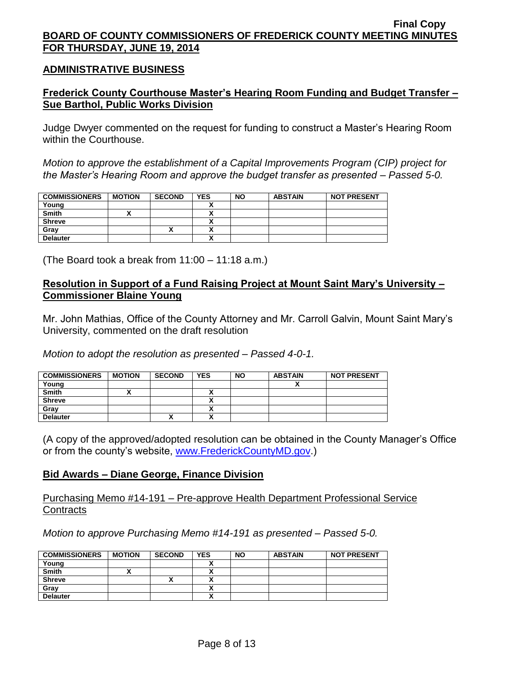#### **ADMINISTRATIVE BUSINESS**

# **Frederick County Courthouse Master's Hearing Room Funding and Budget Transfer – Sue Barthol, Public Works Division**

Judge Dwyer commented on the request for funding to construct a Master's Hearing Room within the Courthouse.

*Motion to approve the establishment of a Capital Improvements Program (CIP) project for the Master's Hearing Room and approve the budget transfer as presented – Passed 5-0.*

| <b>COMMISSIONERS</b> | <b>MOTION</b> | <b>SECOND</b> | <b>YES</b> | <b>NO</b> | <b>ABSTAIN</b> | <b>NOT PRESENT</b> |
|----------------------|---------------|---------------|------------|-----------|----------------|--------------------|
| Young                |               |               |            |           |                |                    |
| <b>Smith</b>         |               |               |            |           |                |                    |
| <b>Shreve</b>        |               |               |            |           |                |                    |
| Gray                 |               |               |            |           |                |                    |
| <b>Delauter</b>      |               |               | n          |           |                |                    |

(The Board took a break from 11:00 – 11:18 a.m.)

# **Resolution in Support of a Fund Raising Project at Mount Saint Mary's University – Commissioner Blaine Young**

Mr. John Mathias, Office of the County Attorney and Mr. Carroll Galvin, Mount Saint Mary's University, commented on the draft resolution

*Motion to adopt the resolution as presented – Passed 4-0-1.*

| <b>COMMISSIONERS</b> | <b>MOTION</b> | <b>SECOND</b> | <b>YES</b> | <b>NO</b> | <b>ABSTAIN</b> | <b>NOT PRESENT</b> |
|----------------------|---------------|---------------|------------|-----------|----------------|--------------------|
| Young                |               |               |            |           |                |                    |
| <b>Smith</b>         |               |               |            |           |                |                    |
| <b>Shreve</b>        |               |               |            |           |                |                    |
| Grav                 |               |               |            |           |                |                    |
| <b>Delauter</b>      |               |               |            |           |                |                    |

(A copy of the approved/adopted resolution can be obtained in the County Manager's Office or from the county's website, [www.FrederickCountyMD.gov.](http://www.frederickcountymd.gov/))

# **Bid Awards – Diane George, Finance Division**

Purchasing Memo #14-191 – Pre-approve Health Department Professional Service **Contracts** 

*Motion to approve Purchasing Memo #14-191 as presented – Passed 5-0.*

| <b>COMMISSIONERS</b> | <b>MOTION</b> | <b>SECOND</b> | <b>YES</b> | <b>NO</b> | <b>ABSTAIN</b> | <b>NOT PRESENT</b> |
|----------------------|---------------|---------------|------------|-----------|----------------|--------------------|
| Young                |               |               |            |           |                |                    |
| <b>Smith</b>         |               |               |            |           |                |                    |
| <b>Shreve</b>        |               | <br>Λ         |            |           |                |                    |
| Gray                 |               |               |            |           |                |                    |
| <b>Delauter</b>      |               |               |            |           |                |                    |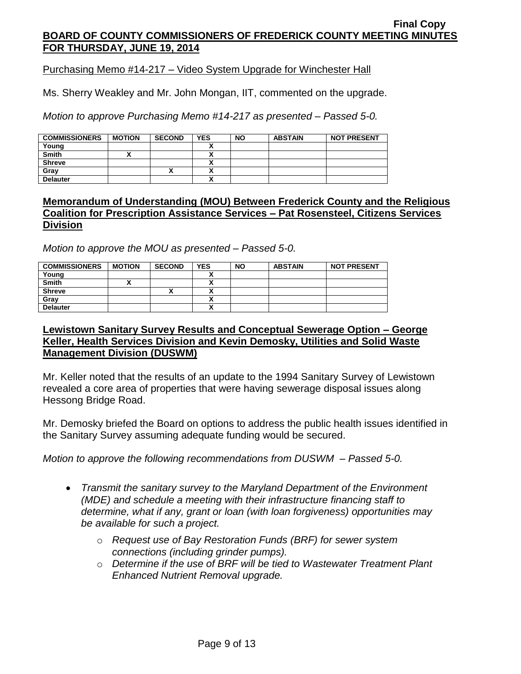Purchasing Memo #14-217 – Video System Upgrade for Winchester Hall

Ms. Sherry Weakley and Mr. John Mongan, IIT, commented on the upgrade.

*Motion to approve Purchasing Memo #14-217 as presented – Passed 5-0.*

| <b>COMMISSIONERS</b> | <b>MOTION</b> | <b>SECOND</b> | <b>YES</b> | <b>NO</b> | <b>ABSTAIN</b> | <b>NOT PRESENT</b> |
|----------------------|---------------|---------------|------------|-----------|----------------|--------------------|
| Young                |               |               |            |           |                |                    |
| <b>Smith</b>         |               |               |            |           |                |                    |
| <b>Shreve</b>        |               |               |            |           |                |                    |
| Grav                 |               | "             |            |           |                |                    |
| <b>Delauter</b>      |               |               |            |           |                |                    |

### **Memorandum of Understanding (MOU) Between Frederick County and the Religious Coalition for Prescription Assistance Services – Pat Rosensteel, Citizens Services Division**

*Motion to approve the MOU as presented – Passed 5-0.*

| <b>COMMISSIONERS</b> | <b>MOTION</b> | <b>SECOND</b> | <b>YES</b> | <b>NO</b> | <b>ABSTAIN</b> | <b>NOT PRESENT</b> |
|----------------------|---------------|---------------|------------|-----------|----------------|--------------------|
| Young                |               |               |            |           |                |                    |
| <b>Smith</b>         |               |               |            |           |                |                    |
| <b>Shreve</b>        |               | ↗             |            |           |                |                    |
| Gray                 |               |               |            |           |                |                    |
| <b>Delauter</b>      |               |               |            |           |                |                    |

# **Lewistown Sanitary Survey Results and Conceptual Sewerage Option – George Keller, Health Services Division and Kevin Demosky, Utilities and Solid Waste Management Division (DUSWM)**

Mr. Keller noted that the results of an update to the 1994 Sanitary Survey of Lewistown revealed a core area of properties that were having sewerage disposal issues along Hessong Bridge Road.

Mr. Demosky briefed the Board on options to address the public health issues identified in the Sanitary Survey assuming adequate funding would be secured.

*Motion to approve the following recommendations from DUSWM – Passed 5-0.*

- *Transmit the sanitary survey to the Maryland Department of the Environment (MDE) and schedule a meeting with their infrastructure financing staff to determine, what if any, grant or loan (with loan forgiveness) opportunities may be available for such a project.*
	- o *Request use of Bay Restoration Funds (BRF) for sewer system connections (including grinder pumps).*
	- o *Determine if the use of BRF will be tied to Wastewater Treatment Plant Enhanced Nutrient Removal upgrade.*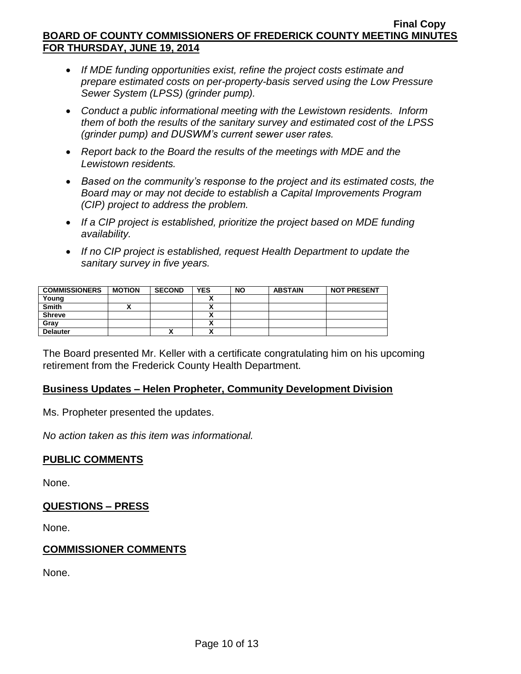- *If MDE funding opportunities exist, refine the project costs estimate and prepare estimated costs on per-property-basis served using the Low Pressure Sewer System (LPSS) (grinder pump).*
- *Conduct a public informational meeting with the Lewistown residents. Inform them of both the results of the sanitary survey and estimated cost of the LPSS (grinder pump) and DUSWM's current sewer user rates.*
- *Report back to the Board the results of the meetings with MDE and the Lewistown residents.*
- *Based on the community's response to the project and its estimated costs, the Board may or may not decide to establish a Capital Improvements Program (CIP) project to address the problem.*
- *If a CIP project is established, prioritize the project based on MDE funding availability.*
- *If no CIP project is established, request Health Department to update the sanitary survey in five years.*

| <b>COMMISSIONERS</b> | <b>MOTION</b> | <b>SECOND</b> | <b>YES</b> | <b>NO</b> | <b>ABSTAIN</b> | <b>NOT PRESENT</b> |
|----------------------|---------------|---------------|------------|-----------|----------------|--------------------|
| Young                |               |               |            |           |                |                    |
| Smith                |               |               |            |           |                |                    |
| <b>Shreve</b>        |               |               |            |           |                |                    |
| Gray                 |               |               |            |           |                |                    |
| <b>Delauter</b>      |               | "             |            |           |                |                    |

The Board presented Mr. Keller with a certificate congratulating him on his upcoming retirement from the Frederick County Health Department.

# **Business Updates – Helen Propheter, Community Development Division**

Ms. Propheter presented the updates.

*No action taken as this item was informational.*

#### **PUBLIC COMMENTS**

None.

#### **QUESTIONS – PRESS**

None.

#### **COMMISSIONER COMMENTS**

None.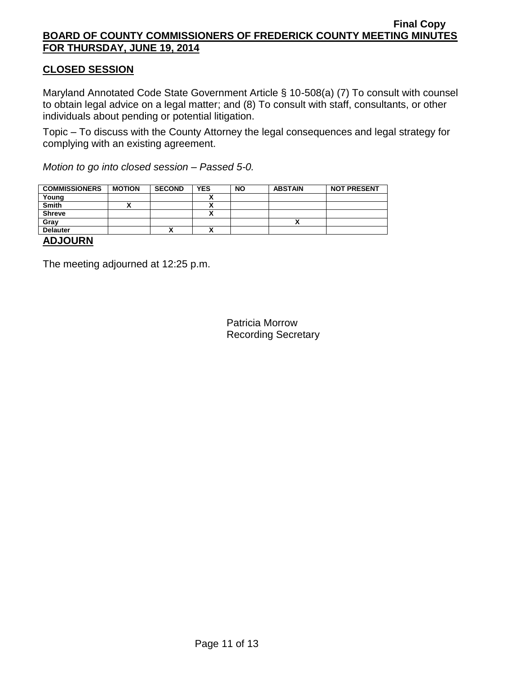# **CLOSED SESSION**

Maryland Annotated Code State Government Article § 10-508(a) (7) To consult with counsel to obtain legal advice on a legal matter; and (8) To consult with staff, consultants, or other individuals about pending or potential litigation.

Topic – To discuss with the County Attorney the legal consequences and legal strategy for complying with an existing agreement.

*Motion to go into closed session – Passed 5-0.*

| <b>COMMISSIONERS</b>                                                                                                                                                                                                                                                                                                                                                                 | <b>MOTION</b> | <b>SECOND</b> | <b>YES</b> | <b>NO</b> | <b>ABSTAIN</b> | <b>NOT PRESENT</b> |
|--------------------------------------------------------------------------------------------------------------------------------------------------------------------------------------------------------------------------------------------------------------------------------------------------------------------------------------------------------------------------------------|---------------|---------------|------------|-----------|----------------|--------------------|
| Young                                                                                                                                                                                                                                                                                                                                                                                |               |               |            |           |                |                    |
| <b>Smith</b>                                                                                                                                                                                                                                                                                                                                                                         |               |               |            |           |                |                    |
| <b>Shreve</b>                                                                                                                                                                                                                                                                                                                                                                        |               |               |            |           |                |                    |
| Gray                                                                                                                                                                                                                                                                                                                                                                                 |               |               |            |           |                |                    |
| <b>Delauter</b>                                                                                                                                                                                                                                                                                                                                                                      |               | Λ             | n          |           |                |                    |
| $\overline{1}$ $\overline{2}$ $\overline{1}$ $\overline{2}$ $\overline{1}$ $\overline{1}$ $\overline{2}$ $\overline{1}$ $\overline{1}$ $\overline{2}$ $\overline{1}$ $\overline{2}$ $\overline{1}$ $\overline{2}$ $\overline{1}$ $\overline{2}$ $\overline{1}$ $\overline{2}$ $\overline{1}$ $\overline{2}$ $\overline{1}$ $\overline{2}$ $\overline{1}$ $\overline{2}$ $\overline{$ |               |               |            |           |                |                    |

# **ADJOURN**

The meeting adjourned at 12:25 p.m.

Patricia Morrow Recording Secretary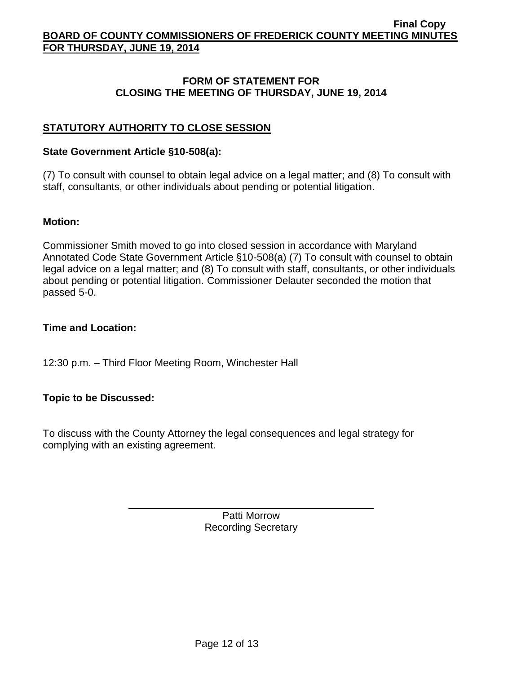### **FORM OF STATEMENT FOR CLOSING THE MEETING OF THURSDAY, JUNE 19, 2014**

# **STATUTORY AUTHORITY TO CLOSE SESSION**

### **State Government Article §10-508(a):**

(7) To consult with counsel to obtain legal advice on a legal matter; and (8) To consult with staff, consultants, or other individuals about pending or potential litigation.

### **Motion:**

Commissioner Smith moved to go into closed session in accordance with Maryland Annotated Code State Government Article §10-508(a) (7) To consult with counsel to obtain legal advice on a legal matter; and (8) To consult with staff, consultants, or other individuals about pending or potential litigation. Commissioner Delauter seconded the motion that passed 5-0.

# **Time and Location:**

12:30 p.m. – Third Floor Meeting Room, Winchester Hall

# **Topic to be Discussed:**

To discuss with the County Attorney the legal consequences and legal strategy for complying with an existing agreement.

> Patti Morrow Recording Secretary